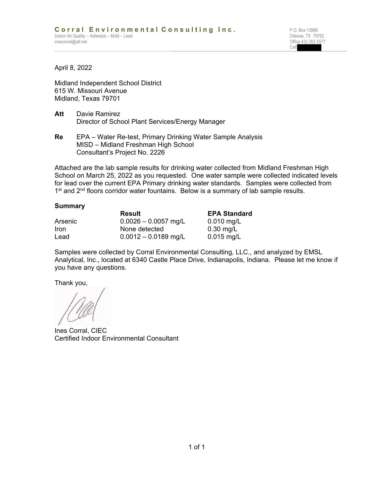**Cell** Service Contract of the Cell Service Contract of the Cell Service Contract of the Cell Service Contract of the Cell Service Contract of the Cell Service Contract of the Cell Service Contract of the Cell Service Cont

April 8, 2022

Midland Independent School District 615 W. Missouri Avenue Midland, Texas 79701

- **Att** Davie Ramirez Director of School Plant Services/Energy Manager
- **Re** EPA Water Re-test, Primary Drinking Water Sample Analysis MISD – Midland Freshman High School Consultant's Project No. 2226

Attached are the lab sample results for drinking water collected from Midland Freshman High School on March 25, 2022 as you requested. One water sample were collected indicated levels for lead over the current EPA Primary drinking water standards. Samples were collected from 1<sup>st</sup> and 2<sup>nd</sup> floors corridor water fountains. Below is a summary of lab sample results.

### **Summary**

|         | Result                 | <b>EPA Standard</b><br>$0.010$ mg/L |  |  |
|---------|------------------------|-------------------------------------|--|--|
| Arsenic | $0.0026 - 0.0057$ mg/L |                                     |  |  |
| Iron    | None detected          | $0.30$ mg/L                         |  |  |
| Lead    | $0.0012 - 0.0189$ mg/L | $0.015$ mg/L                        |  |  |

Samples were collected by Corral Environmental Consulting, LLC., and analyzed by EMSL Analytical, Inc., located at 6340 Castle Place Drive, Indianapolis, Indiana. Please let me know if you have any questions.

Thank you,

Ines Corral, CIEC Certified Indoor Environmental Consultant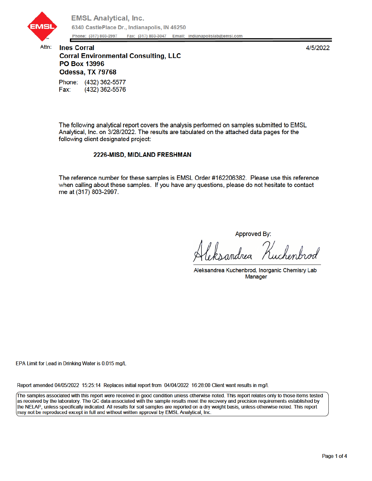

Attn:

4/5/2022

# **Ines Corral Corral Environmental Consulting, LLC** PO Box 13996 Odessa, TX 79768 Phone: (432) 362-5577

Fax: (432) 362-5576

The following analytical report covers the analysis performed on samples submitted to EMSL Analytical, Inc. on 3/28/2022. The results are tabulated on the attached data pages for the following client designated project:

### 2226-MISD, MIDLAND FRESHMAN

The reference number for these samples is EMSL Order #162206382. Please use this reference when calling about these samples. If you have any questions, please do not hesitate to contact me at (317) 803-2997.

Approved By:

.<br>Kuchenbrod

Aleksandrea Kuchenbrod, Inorganic Chemisry Lab **Manager** 

EPA Limit for Lead in Drinking Water is 0.015 mg/L

Report amended 04/05/2022 15:25:14 Replaces initial report from 04/04/2022 16:28:00 Client want results in mg/l.

The samples associated with this report were received in good condition unless otherwise noted. This report relates only to those items tested as received by the laboratory. The QC data associated with the sample results meet the recovery and precision requirements established by the NELAP, unless specifically indicated. All results for soil samples are reported on a dry weight basis, unless otherwise noted. This report may not be reproduced except in full and without written approval by EMSL Analytical, Inc.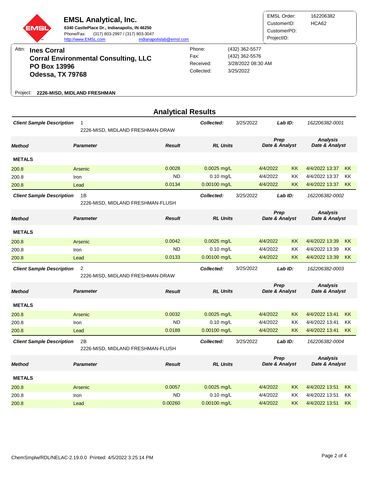

|                                                                                        |                                                  | <b>Analytical Results</b> |                 |                      |                        |           |                                   |           |
|----------------------------------------------------------------------------------------|--------------------------------------------------|---------------------------|-----------------|----------------------|------------------------|-----------|-----------------------------------|-----------|
| <b>Client Sample Description</b>                                                       | $\mathbf{1}$<br>2226-MISD, MIDLAND FRESHMAN-DRAW |                           | Collected:      | 3/25/2022            |                        | Lab ID:   | 162206382-0001                    |           |
| <b>Method</b>                                                                          | <b>Parameter</b>                                 | <b>Result</b>             | <b>RL Units</b> |                      | Prep<br>Date & Analyst |           | <b>Analysis</b><br>Date & Analyst |           |
| <b>METALS</b>                                                                          |                                                  |                           |                 |                      |                        |           |                                   |           |
| 200.8                                                                                  | Arsenic                                          | 0.0028                    | $0.0025$ mg/L   |                      | 4/4/2022               | <b>KK</b> | 4/4/2022 13:37                    | <b>KK</b> |
| 200.8                                                                                  | Iron                                             | <b>ND</b>                 | 0.10 mg/L       |                      | 4/4/2022               | <b>KK</b> | 4/4/2022 13:37                    | KK        |
| 200.8                                                                                  | Lead                                             | 0.0134                    | 0.00100 mg/L    |                      | 4/4/2022               | <b>KK</b> | 4/4/2022 13:37                    | <b>KK</b> |
| <b>Client Sample Description</b>                                                       | 1B<br>2226-MISD, MIDLAND FRESHMAN-FLUSH          |                           | Collected:      | 3/25/2022            |                        | Lab ID:   | 162206382-0002                    |           |
| Method                                                                                 | <b>Parameter</b>                                 | <b>Result</b>             | <b>RL Units</b> |                      | Prep<br>Date & Analyst |           | <b>Analysis</b><br>Date & Analyst |           |
| <b>METALS</b>                                                                          |                                                  |                           |                 |                      |                        |           |                                   |           |
| 200.8                                                                                  | Arsenic                                          | 0.0042                    | $0.0025$ mg/L   |                      | 4/4/2022               | ΚK        | 4/4/2022 13:39                    | KK        |
| 200.8                                                                                  | Iron                                             | <b>ND</b>                 | $0.10$ mg/L     |                      | 4/4/2022               | <b>KK</b> | 4/4/2022 13:39                    | <b>KK</b> |
| 200.8                                                                                  | Lead                                             | 0.0133                    | 0.00100 mg/L    |                      | 4/4/2022               | <b>KK</b> | 4/4/2022 13:39                    | KK.       |
| $\overline{2}$<br><b>Client Sample Description</b><br>2226-MISD, MIDLAND FRESHMAN-DRAW |                                                  |                           | Collected:      | 3/25/2022<br>Lab ID: |                        |           | 162206382-0003                    |           |
| <b>Method</b>                                                                          | <b>Parameter</b>                                 | <b>Result</b>             | <b>RL Units</b> |                      | Prep<br>Date & Analyst |           | <b>Analysis</b><br>Date & Analyst |           |
| <b>METALS</b>                                                                          |                                                  |                           |                 |                      |                        |           |                                   |           |
| 200.8                                                                                  | Arsenic                                          | 0.0032                    | $0.0025$ mg/L   |                      | 4/4/2022               | <b>KK</b> | 4/4/2022 13:41                    | <b>KK</b> |
| 200.8                                                                                  | Iron                                             | <b>ND</b>                 | $0.10$ mg/L     |                      | 4/4/2022               | KK        | 4/4/2022 13:41                    | ΚK        |
| 200.8                                                                                  | Lead                                             | 0.0189                    | $0.00100$ mg/L  |                      | 4/4/2022               | ΚK        | 4/4/2022 13:41                    | KK.       |
| <b>Client Sample Description</b>                                                       | 2B<br>2226-MISD, MIDLAND FRESHMAN-FLUSH          |                           | Collected:      | 3/25/2022            |                        | Lab ID:   | 162206382-0004                    |           |
| <b>Method</b>                                                                          | <b>Parameter</b>                                 | <b>Result</b>             | <b>RL Units</b> |                      | Prep<br>Date & Analyst |           | <b>Analysis</b><br>Date & Analyst |           |
| <b>METALS</b>                                                                          |                                                  |                           |                 |                      |                        |           |                                   |           |
| 200.8                                                                                  | Arsenic                                          | 0.0057                    | $0.0025$ mg/L   |                      | 4/4/2022               | <b>KK</b> | 4/4/2022 13:51                    | <b>KK</b> |
| 200.8                                                                                  | Iron                                             | <b>ND</b>                 | $0.10$ mg/L     |                      | 4/4/2022               | KΚ        | 4/4/2022 13:51                    | <b>KK</b> |
| 200.8                                                                                  | Lead                                             | 0.00260                   | 0.00100 mg/L    |                      | 4/4/2022               | ΚK        | 4/4/2022 13:51                    | <b>KK</b> |
|                                                                                        |                                                  |                           |                 |                      |                        |           |                                   |           |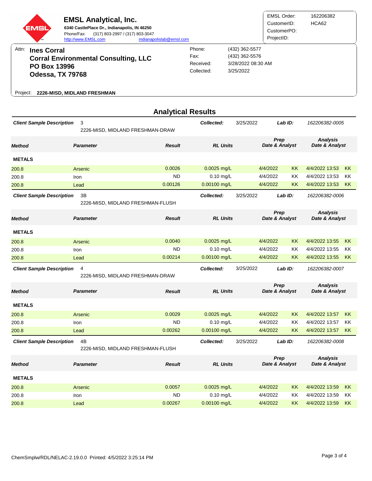

|                                                                             |                  | <b>Analytical Results</b>         |                 |                      |                        |                        |                                   |           |
|-----------------------------------------------------------------------------|------------------|-----------------------------------|-----------------|----------------------|------------------------|------------------------|-----------------------------------|-----------|
| <b>Client Sample Description</b>                                            | 3                | 2226-MISD, MIDLAND FRESHMAN-DRAW  | Collected:      | 3/25/2022            | Lab ID:                |                        | 162206382-0005                    |           |
| <b>Method</b>                                                               | <b>Parameter</b> | <b>Result</b>                     | <b>RL Units</b> |                      | Prep<br>Date & Analyst |                        | <b>Analysis</b><br>Date & Analyst |           |
| <b>METALS</b>                                                               |                  |                                   |                 |                      |                        |                        |                                   |           |
| 200.8                                                                       | Arsenic          | 0.0026                            | $0.0025$ mg/L   |                      | 4/4/2022               | KK                     | 4/4/2022 13:53                    | <b>KK</b> |
| 200.8                                                                       | Iron             | <b>ND</b>                         | $0.10$ mg/L     |                      | 4/4/2022               | ΚK                     | 4/4/2022 13:53                    | KK        |
| 200.8                                                                       | Lead             | 0.00126                           | 0.00100 mg/L    |                      | 4/4/2022               | <b>KK</b>              | 4/4/2022 13:53                    | <b>KK</b> |
| <b>Client Sample Description</b><br>3B<br>2226-MISD, MIDLAND FRESHMAN-FLUSH |                  |                                   | Collected:      | 3/25/2022            |                        | Lab ID:                | 162206382-0006                    |           |
| <b>Method</b>                                                               | <b>Parameter</b> | <b>Result</b>                     | <b>RL Units</b> |                      |                        | Prep<br>Date & Analyst | <b>Analysis</b><br>Date & Analyst |           |
| <b>METALS</b>                                                               |                  |                                   |                 |                      |                        |                        |                                   |           |
| 200.8                                                                       | Arsenic          | 0.0040                            | $0.0025$ mg/L   |                      | 4/4/2022               | <b>KK</b>              | 4/4/2022 13:55                    | <b>KK</b> |
| 200.8                                                                       | Iron             | <b>ND</b>                         | $0.10$ mg/L     |                      | 4/4/2022               | KK                     | 4/4/2022 13:55                    | KK        |
| 200.8                                                                       | Lead             | 0.00214                           | 0.00100 mg/L    |                      | 4/4/2022               | <b>KK</b>              | 4/4/2022 13:55                    | KK.       |
| <b>Client Sample Description</b>                                            | 4                | 2226-MISD, MIDLAND FRESHMAN-DRAW  | Collected:      | 3/25/2022            |                        | $Lab$ $ID:$            | 162206382-0007                    |           |
| <b>Method</b>                                                               | <b>Parameter</b> | <b>Result</b>                     | <b>RL Units</b> |                      | Prep<br>Date & Analyst |                        | <b>Analysis</b><br>Date & Analyst |           |
| <b>METALS</b>                                                               |                  |                                   |                 |                      |                        |                        |                                   |           |
| 200.8                                                                       | Arsenic          | 0.0029                            | $0.0025$ mg/L   |                      | 4/4/2022               | <b>KK</b>              | 4/4/2022 13:57                    | <b>KK</b> |
| 200.8                                                                       | Iron             | <b>ND</b>                         | $0.10$ mg/L     |                      | 4/4/2022               | KK                     | 4/4/2022 13:57                    | KK        |
| 200.8                                                                       | Lead             | 0.00262                           | 0.00100 mg/L    |                      | 4/4/2022               | KK                     | 4/4/2022 13:57                    | KK        |
| <b>Client Sample Description</b><br>4B                                      |                  | 2226-MISD, MIDLAND FRESHMAN-FLUSH | Collected:      | 3/25/2022<br>Lab ID: |                        |                        | 162206382-0008                    |           |
| <b>Method</b>                                                               | <b>Parameter</b> | <b>Result</b>                     | <b>RL Units</b> |                      | Prep<br>Date & Analyst |                        | <b>Analysis</b><br>Date & Analyst |           |
| <b>METALS</b>                                                               |                  |                                   |                 |                      |                        |                        |                                   |           |
| 200.8                                                                       | Arsenic          | 0.0057                            | $0.0025$ mg/L   |                      | 4/4/2022               | <b>KK</b>              | 4/4/2022 13:59                    | <b>KK</b> |
| 200.8                                                                       | Iron             | <b>ND</b>                         | $0.10$ mg/L     |                      | 4/4/2022               | KK                     | 4/4/2022 13:59                    | ΚK        |
| 200.8                                                                       | Lead             | 0.00267                           | 0.00100 mg/L    |                      | 4/4/2022               | KK                     | 4/4/2022 13:59                    | <b>KK</b> |